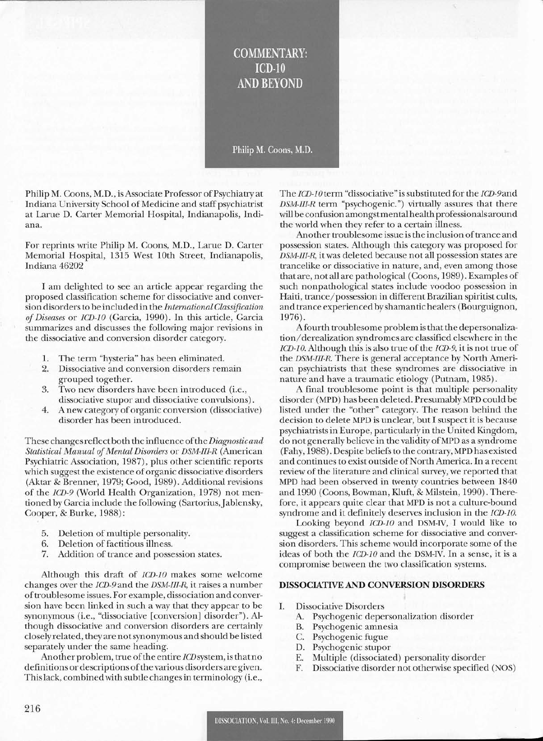## **COMMENTARY:**  $ICD-10$ **AND REYOND**

Philip M. Coons, M.D.

Philip M. Coons, M.D., is Associate Professor of Psychiatry at Indiana University School of Medicine and staff psychiatrist at Larue D. Carter Memorial Hospital, Indianapolis, Indiana.

For reprints write Philip M. Coons, M.D., Larue D. Carter Memorial Hospital, 1315 West 10th Street, Indianapolis, Indiana 46202

I am delighted to see an article appear regarding the proposed classification scheme for dissociative and conversion disorders to be included in the *International Classification ofDiseases* or *lCD-lO* (Garcia, 1990). In this article, Garcia summarizes and discusses the following major revisions in the dissociative and conversion disorder category.

- 1. The term "hysteria" has been eliminated.
- 2. Dissociative and conversion disorders remain grouped together.
- 3. Two new disorders have been introduced (i.e., dissociative stupor and dissociative convulsions).
- 4. A new category of organic conversion (dissociative) disorder has been introduced.

These changesreflectboth the influence ofthe *Diagnostic and Statistical Manual ofMental Disorders* or *DSM-III-R* (American Psychiatric Association, 1987), plus other scientific reports which suggest the existence of organic dissociative disorders (Aktar & Brenner, 1979; Good, 1989). Additional revisions of the *lCD-9* (World Health Organization, 1978) not mentioned by Garcia include the following (Sartorius, Jablensky, Cooper, & Burke, 1988):

- 5. Deletion of multiple personality.
- 6. Deletion of factitious illness.
- 7. Addition of trance and possession states.

Although this draft of *lCD-lO* makes some welcome changes over the lCD-9and the *DSM-III-R,* it raises a number oftroublesome issues. For example, dissociation and conversion have been linked in such a way that they appear to be synonymous (i.e., "dissociative [conversion] disorder"). Although dissociative and conversion disorders are certainly closely related, they are notsynonymous and should be listed separately under the same heading.

Another problem, true ofthe entire *lCDsystem,* is thatno definitions or descriptions of the various disorders are given. Thislack, combinedwith subtle changesin terminology (i.e.,

The *ICD-10* term "dissociative" is substituted for the *ICD-9* and *DSM-III-R* term "psychogenic.") virtually assures that there will be confusion amongstmental health professionals around the world when they refer to a certain illness.

Another troublesome issue is the inclusion of trance and possession states. Although this category was proposed for *DSM-III-R,* it was deleted because not all possession states are trancelike or dissociative in nature, and, even among those that are, not all are pathological (Coons, 1989). Examples of such nonpathological states include voodoo possession in Haiti, trance/possession in different Brazilian spiritist cults, and trance experienced byshamantic healers (Bourguignon, 1976).

Afourth troublesome problem is that the depersonalization/derealization syndromes are classified elsewhere in the *lCD-10.* Although this is also true of the *ICD-9*, it is not true of the *DSM-III-R* There is general acceptance by North American psychiatrists that these syndromes are dissociative in nature and have a traumatic etiology (Putnam, 1985).

A final troublesome point is that multiple personality disorder (MPD) has been deleted. Presumably MPD could be listed under the "other" category. The reason behind the decision to delete MPD is unclear, but I suspect it is because psychiatrists in Europe, particularly in the United Kingdom, do not generally believe in the validity of MPD as a syndrome (Fahy, 1988). Despite beliefs to the contrary, MPD has existed and continues to exist outside of North America. In a recent review of the literature and clinical survey, we reported that MPD had been observed in twenty countries between 1840 and 1990 (Coons, Bowman, Kluft, & Milstein, 1990). Therefore, it appears quite clear that MPD is not a culture-bound syndrome and it definitely deserves inclusion in the *lCD-lO.*

Looking beyond *lCD-lO* and DSM-IV, I would like to suggest a classification scheme for dissociative and conversion disorders. This scheme would incorporate some of the ideas of both the *lCD-lO* and the DSM-IV. In a sense, it is a compromise between the two classification systems.

## **DISSOCIATIVE AND CONVERSION DISORDERS**

- 1. Dissociative Disorders
	- A. Psychogenic depersonalization disorder
	- B. Psychogenic amnesia
	- C. Psychogenic fugue
	- D. Psychogenic stupor
	- E. Multiple (dissociated) personality disorder
	- F. Dissociative disorder not otherwise specified (NOS)